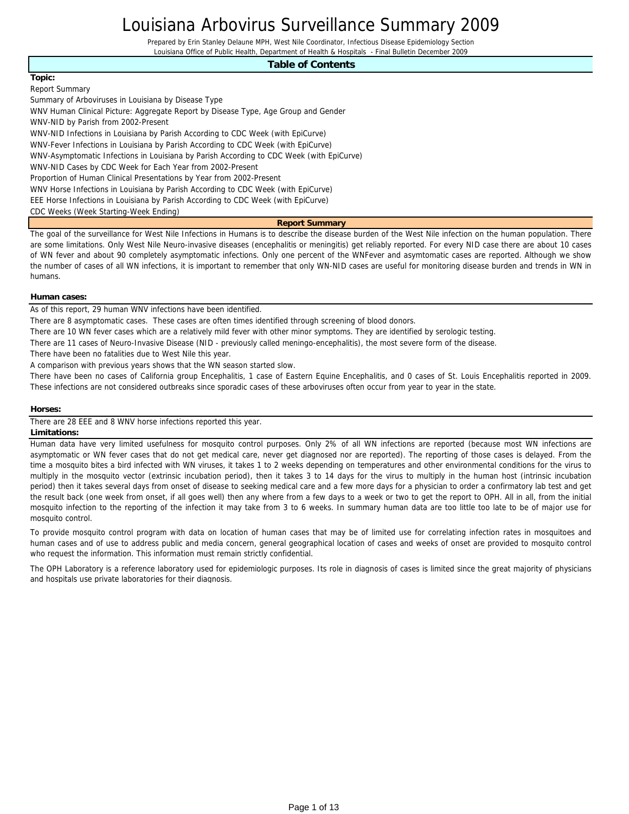## Louisiana Arbovirus Surveillance Summary 2009

Prepared by Erin Stanley Delaune MPH, West Nile Coordinator, Infectious Disease Epidemiology Section Louisiana Office of Public Health, Department of Health & Hospitals - Final Bulletin December 2009

#### **Table of Contents**

**Topic:**

Report Summary

Summary of Arboviruses in Louisiana by Disease Type WNV Human Clinical Picture: Aggregate Report by Disease Type, Age Group and Gender WNV-NID by Parish from 2002-Present WNV-NID Infections in Louisiana by Parish According to CDC Week (with EpiCurve) WNV-Fever Infections in Louisiana by Parish According to CDC Week (with EpiCurve) WNV-Asymptomatic Infections in Louisiana by Parish According to CDC Week (with EpiCurve) WNV-NID Cases by CDC Week for Each Year from 2002-Present Proportion of Human Clinical Presentations by Year from 2002-Present WNV Horse Infections in Louisiana by Parish According to CDC Week (with EpiCurve) EEE Horse Infections in Louisiana by Parish According to CDC Week (with EpiCurve) CDC Weeks (Week Starting-Week Ending)

**Report Summary**

The goal of the surveillance for West Nile Infections in Humans is to describe the disease burden of the West Nile infection on the human population. There are some limitations. Only West Nile Neuro-invasive diseases (encephalitis or meningitis) get reliably reported. For every NID case there are about 10 cases of WN fever and about 90 completely asymptomatic infections. Only one percent of the WNFever and asymtomatic cases are reported. Although we show the number of cases of all WN infections, it is important to remember that only WN-NID cases are useful for monitoring disease burden and trends in WN in humans.

#### **Human cases:**

As of this report, 29 human WNV infections have been identified.

There are 8 asymptomatic cases. These cases are often times identified through screening of blood donors.

There are 10 WN fever cases which are a relatively mild fever with other minor symptoms. They are identified by serologic testing.

There are 11 cases of Neuro-Invasive Disease (NID - previously called meningo-encephalitis), the most severe form of the disease.

There have been no fatalities due to West Nile this year.

A comparison with previous years shows that the WN season started slow.

There have been no cases of California group Encephalitis, 1 case of Eastern Equine Encephalitis, and 0 cases of St. Louis Encephalitis reported in 2009. These infections are not considered outbreaks since sporadic cases of these arboviruses often occur from year to year in the state.

#### **Horses:**

There are 28 EEE and 8 WNV horse infections reported this year.

#### **Limitations:**

Human data have very limited usefulness for mosquito control purposes. Only 2% of all WN infections are reported (because most WN infections are asymptomatic or WN fever cases that do not get medical care, never get diagnosed nor are reported). The reporting of those cases is delayed. From the time a mosquito bites a bird infected with WN viruses, it takes 1 to 2 weeks depending on temperatures and other environmental conditions for the virus to multiply in the mosquito vector (extrinsic incubation period), then it takes 3 to 14 days for the virus to multiply in the human host (intrinsic incubation period) then it takes several days from onset of disease to seeking medical care and a few more days for a physician to order a confirmatory lab test and get the result back (one week from onset, if all goes well) then any where from a few days to a week or two to get the report to OPH. All in all, from the initial mosquito infection to the reporting of the infection it may take from 3 to 6 weeks. In summary human data are too little too late to be of major use for mosquito control.

To provide mosquito control program with data on location of human cases that may be of limited use for correlating infection rates in mosquitoes and human cases and of use to address public and media concern, general geographical location of cases and weeks of onset are provided to mosquito control who request the information. This information must remain strictly confidential.

The OPH Laboratory is a reference laboratory used for epidemiologic purposes. Its role in diagnosis of cases is limited since the great majority of physicians and hospitals use private laboratories for their diagnosis.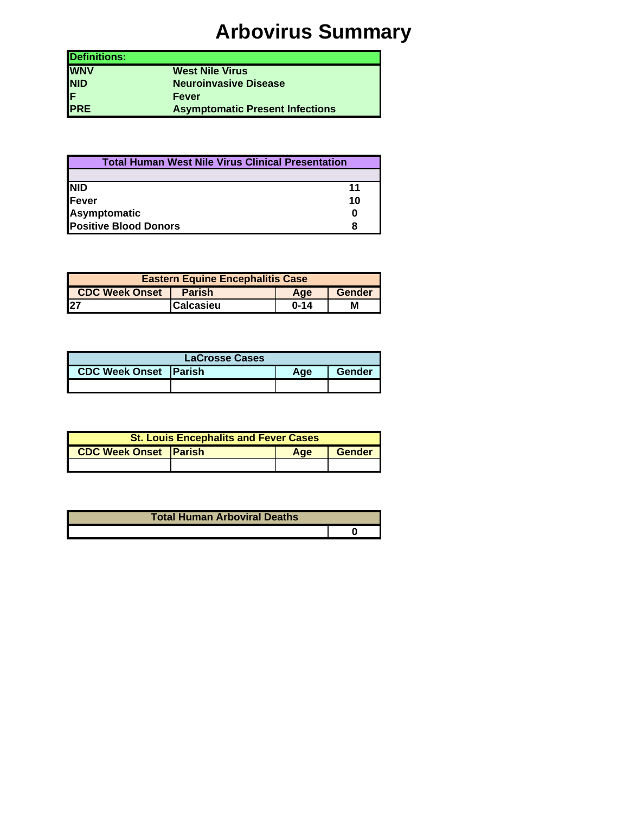# **Arbovirus Summary**

| <b>Definitions:</b> |                                        |
|---------------------|----------------------------------------|
| <b>IWNV</b>         | <b>West Nile Virus</b>                 |
| <b>INID</b>         | <b>Neuroinvasive Disease</b>           |
| IF                  | <b>Fever</b>                           |
| <b>IPRE</b>         | <b>Asymptomatic Present Infections</b> |

| <b>Total Human West Nile Virus Clinical Presentation</b> |    |
|----------------------------------------------------------|----|
|                                                          |    |
| <b>NID</b>                                               | 11 |
| Fever                                                    | 10 |
| Asymptomatic                                             |    |
| <b>Positive Blood Donors</b>                             |    |

|                       | <b>Eastern Equine Encephalitis Case</b> |          |        |
|-----------------------|-----------------------------------------|----------|--------|
| <b>CDC Week Onset</b> | <b>Parish</b>                           | Age      | Gender |
| 27                    | Calcasieu                               | $0 - 14$ | Μ      |

|                              | <b>LaCrosse Cases</b> |     |          |
|------------------------------|-----------------------|-----|----------|
| <b>CDC Week Onset Parish</b> |                       | Aae | Gender I |
|                              |                       |     |          |

| <b>St. Louis Encephalits and Fever Cases</b><br><b>CDC Week Onset Parish</b> |  |     |        |  |  |  |  |  |  |  |  |  |  |
|------------------------------------------------------------------------------|--|-----|--------|--|--|--|--|--|--|--|--|--|--|
|                                                                              |  | Age | Gender |  |  |  |  |  |  |  |  |  |  |
|                                                                              |  |     |        |  |  |  |  |  |  |  |  |  |  |

| <b>Total Human Arboviral Deaths</b> |  |
|-------------------------------------|--|
|                                     |  |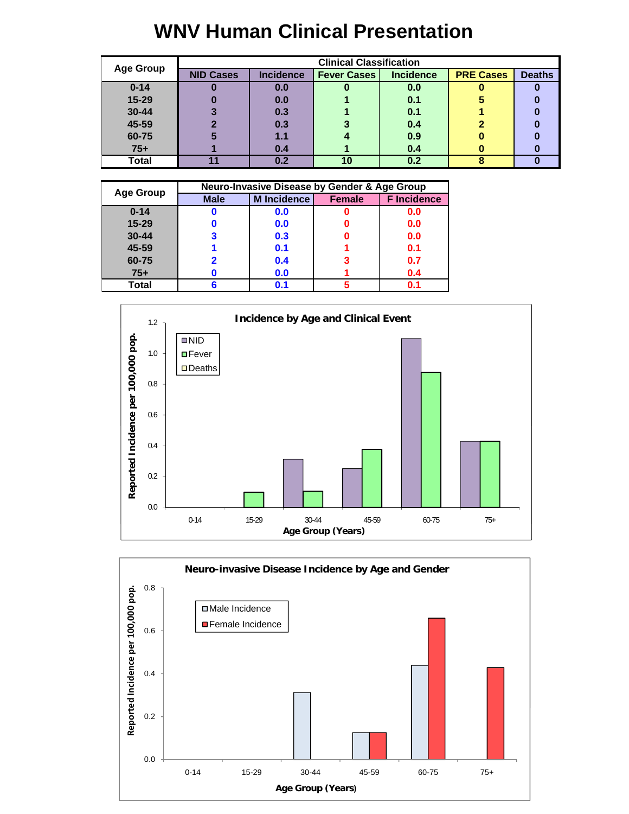## **WNV Human Clinical Presentation**

|                  |                  |           | <b>Clinical Classification</b> |                  |                  |               |
|------------------|------------------|-----------|--------------------------------|------------------|------------------|---------------|
| <b>Age Group</b> | <b>NID Cases</b> | Incidence | <b>Fever Cases</b>             | <b>Incidence</b> | <b>PRE Cases</b> | <b>Deaths</b> |
| $0 - 14$         |                  | 0.0       |                                | 0.0              |                  |               |
| 15-29            |                  | 0.0       |                                | 0.1              |                  |               |
| 30-44            |                  | 0.3       |                                | 0.1              |                  |               |
| 45-59            |                  | 0.3       |                                | 0.4              |                  |               |
| 60-75            | 5                | 1.1       |                                | 0.9              |                  |               |
| $75+$            |                  | 0.4       |                                | 0.4              |                  |               |
| Total            | 11               | 0.2       | 10                             | 0.2              | 8                |               |

|                  |             | <b>Neuro-Invasive Disease by Gender &amp; Age Group</b> |               |                    |
|------------------|-------------|---------------------------------------------------------|---------------|--------------------|
| <b>Age Group</b> | <b>Male</b> | <b>M</b> Incidence                                      | <b>Female</b> | <b>F</b> Incidence |
| $0 - 14$         | O           | 0.0                                                     |               | 0.0                |
| $15 - 29$        | 0           | 0.0                                                     |               | 0.0                |
| $30 - 44$        | 3           | 0.3                                                     |               | 0.0                |
| 45-59            |             | 0.1                                                     |               | 0.1                |
| 60-75            | 2           | 0.4                                                     |               | 0.7                |
| $75+$            | 0           | 0.0                                                     |               | 0.4                |
| Total            | 6           | 0.1                                                     |               | 0.1                |



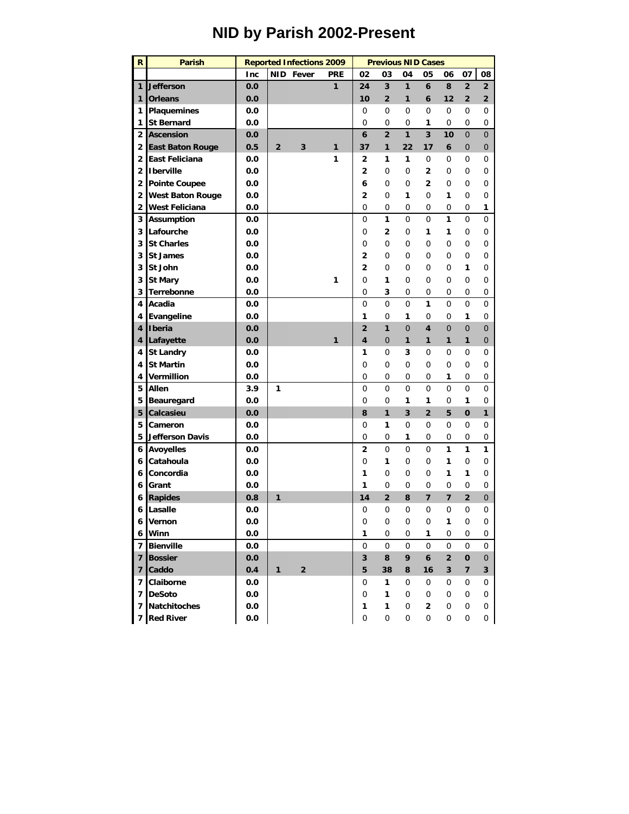## **NID by Parish 2002-Present**

| $\mathsf{R}$   | <b>Parish</b>           |            |                | <b>Reported Infections 2009</b> |            |                         | <b>Previous NID Cases</b> |                |                         |              |                |                |
|----------------|-------------------------|------------|----------------|---------------------------------|------------|-------------------------|---------------------------|----------------|-------------------------|--------------|----------------|----------------|
|                |                         | <b>Inc</b> |                | <b>NID</b> Fever                | <b>PRE</b> | 02                      | 03                        | 04             | 05                      | 06           | 07             | 08             |
|                | 1 Jefferson             | 0.0        |                |                                 | 1          | 24                      | 3                         | 1              | 6                       | 8            | $\overline{2}$ | $\overline{2}$ |
| 1              | <b>Orleans</b>          | 0.0        |                |                                 |            | 10                      | $\overline{2}$            | 1              | 6                       | 12           | $\overline{2}$ | $\overline{2}$ |
| 1              | Plaquemines             | 0.0        |                |                                 |            | 0                       | 0                         | 0              | $\mathbf 0$             | $\mathbf 0$  | 0              | $\mathbf 0$    |
| 1              | <b>St Bernard</b>       | 0.0        |                |                                 |            | 0                       | 0                         | 0              | 1                       | 0            | 0              | 0              |
| 2 <sub>1</sub> | <b>Ascension</b>        | 0.0        |                |                                 |            | 6                       | $\overline{2}$            | $\mathbf{1}$   | 3                       | 10           | $\overline{0}$ | $\mathbf{0}$   |
|                | 2 East Baton Rouge      | 0.5        | $\overline{2}$ | 3                               | 1          | 37                      | 1                         | 22             | 17                      | 6            | $\overline{0}$ | $\mathbf{0}$   |
|                | 2 East Feliciana        | 0.0        |                |                                 | 1          | 2                       | 1                         | 1              | $\mathbf 0$             | 0            | 0              | 0              |
|                | 2 I berville            | 0.0        |                |                                 |            | $\overline{2}$          | 0                         | 0              | $\overline{2}$          | 0            | 0              | $\mathbf 0$    |
|                | 2 Pointe Coupee         | 0.0        |                |                                 |            | 6                       | 0                         | 0              | $\overline{2}$          | 0            | 0              | $\mathbf 0$    |
| 2 <sub>1</sub> | <b>West Baton Rouge</b> | 0.0        |                |                                 |            | $\overline{\mathbf{c}}$ | 0                         | 1              | 0                       | 1            | 0              | 0              |
| $\mathbf{2}$   | <b>West Feliciana</b>   | 0.0        |                |                                 |            | 0                       | 0                         | 0              | 0                       | 0            | 0              | 1              |
| 3 <sup>1</sup> | <b>Assumption</b>       | 0.0        |                |                                 |            | 0                       | 1                         | 0              | $\mathbf 0$             | 1            | 0              | $\mathbf 0$    |
| 3 I            | Lafourche               | 0.0        |                |                                 |            | 0                       | $\overline{2}$            | 0              | 1                       | 1            | 0              | $\mathbf 0$    |
| 3              | <b>St Charles</b>       | 0.0        |                |                                 |            | 0                       | 0                         | 0              | 0                       | 0            | 0              | 0              |
| 3              | <b>St James</b>         | 0.0        |                |                                 |            | 2                       | 0                         | 0              | 0                       | 0            | 0              | $\mathbf 0$    |
| 3              | St John                 | 0.0        |                |                                 |            | $\overline{2}$          | 0                         | 0              | 0                       | 0            | 1              | $\mathbf 0$    |
| 3              | <b>St Mary</b>          | 0.0        |                |                                 | 1          | 0                       | 1                         | 0              | 0                       | 0            | 0              | $\mathbf 0$    |
| 3              | Terrebonne              | 0.0        |                |                                 |            | 0                       | 3                         | 0              | 0                       | 0            | 0              | 0              |
| $\overline{4}$ | Acadia                  | 0.0        |                |                                 |            | 0                       | 0                         | 0              | 1                       | 0            | 0              | 0              |
| 4              | Evangeline              | 0.0        |                |                                 |            | 1                       | 0                         | 1              | 0                       | 0            | 1              | $\mathbf 0$    |
| 4              | Iberia                  | 0.0        |                |                                 |            | $\overline{2}$          | 1                         | $\overline{0}$ | $\overline{\mathbf{4}}$ | $\Omega$     | $\overline{0}$ | $\overline{0}$ |
| 4              | Lafayette               | 0.0        |                |                                 | 1          | 4                       | 0                         | 1              | 1                       | 1            | 1              | $\mathbf 0$    |
| 4              | <b>St Landry</b>        | 0.0        |                |                                 |            | 1                       | 0                         | 3              | 0                       | 0            | 0              | 0              |
| 4              | <b>St Martin</b>        | 0.0        |                |                                 |            | 0                       | 0                         | 0              | 0                       | 0            | 0              | 0              |
| 4              | Vermillion              | 0.0        |                |                                 |            | 0                       | 0                         | 0              | 0                       | 1            | 0              | 0              |
| 5 <sub>1</sub> | Allen                   | 3.9        | 1              |                                 |            | 0                       | $\mathbf 0$               | 0              | $\overline{0}$          | 0            | 0              | 0              |
| <sub>5</sub>   | Beauregard              | 0.0        |                |                                 |            | 0                       | 0                         | 1              | 1                       | 0            | 1              | 0              |
| 5 <sub>1</sub> | Calcasieu               | 0.0        |                |                                 |            | 8                       | 1                         | 3              | $\overline{2}$          | 5            | $\mathbf 0$    | 1              |
| 5              | Cameron                 | 0.0        |                |                                 |            | 0                       | 1                         | $\mathbf 0$    | 0                       | 0            | 0              | 0              |
| 5.             | <b>Jefferson Davis</b>  | 0.0        |                |                                 |            | 0                       | 0                         | 1              | 0                       | 0            | 0              | 0              |
|                | <b>6</b> Avoyelles      | 0.0        |                |                                 |            | 2                       | 0                         | 0              | $\overline{0}$          | 1            | 1              | 1              |
| 6 I            | Catahoula               | 0.0        |                |                                 |            | 0                       | 1                         | 0              | 0                       | 1            | 0              | 0              |
| 6              | Concordia               | 0.0        |                |                                 |            | 1                       | 0                         | 0              | 0                       | 1            | 1              | 0              |
| 6              | Grant                   | 0.0        |                |                                 |            | 1                       | 0                         | 0              | 0                       | 0            | 0              | 0              |
| 6 I            | <b>Rapides</b>          | 0.8        | 1              |                                 |            | 14                      | $\overline{2}$            | 8              | $\overline{7}$          | 7            | $\overline{2}$ | $\mathbf 0$    |
| 6              | Lasalle                 | 0.0        |                |                                 |            | 0                       | 0                         | 0              | 0                       | 0            | 0              | 0              |
| 6 I            | Vernon                  | 0.0        |                |                                 |            | 0                       | 0                         | 0              | 0                       | 1            | 0              | 0              |
| 6 <sup>1</sup> | Winn                    | 0.0        |                |                                 |            | 1                       | 0                         | 0              | 1                       | 0            | 0              | 0              |
| <b>7</b> I     | <b>Bienville</b>        | 0.0        |                |                                 |            | 0                       | 0                         | $\mathbf 0$    | 0                       | $\mathbf 0$  | 0              | 0              |
| 7 <sup>1</sup> | <b>Bossier</b>          | 0.0        |                |                                 |            | 3                       | 8                         | 9              | 6                       | $\mathbf{2}$ | 0              | $\mathbf 0$    |
| 7 <sup>1</sup> | Caddo                   | 0.4        | 1              | $\overline{2}$                  |            | 5                       | 38                        | 8              | 16                      | 3            | $\overline{7}$ | 3              |
| 7 <sup>1</sup> | Claiborne               | 0.0        |                |                                 |            | 0                       | 1                         | 0              | 0                       | 0            | 0              | 0              |
| 7 I            | <b>DeSoto</b>           | 0.0        |                |                                 |            | 0                       | 1                         | 0              | 0                       | 0            | 0              | 0              |
| 7 I            | <b>Natchitoches</b>     | 0.0        |                |                                 |            | 1                       | 1                         | 0              | $\overline{2}$          | 0            | 0              | 0              |
|                | 7 Red River             | 0.0        |                |                                 |            | 0                       | 0                         | 0              | 0                       | 0            | 0              | 0              |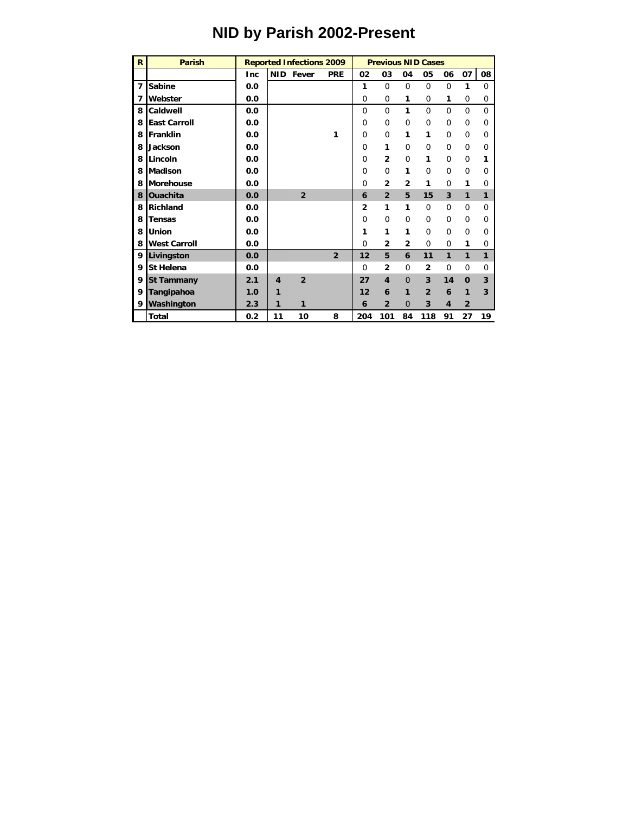| $\mathsf{R}$   | <b>Parish</b>       |            |    | <b>Reported Infections 2009</b> |                |                |                |                | <b>Previous NID Cases</b> |          |                |             |
|----------------|---------------------|------------|----|---------------------------------|----------------|----------------|----------------|----------------|---------------------------|----------|----------------|-------------|
|                |                     | <b>Inc</b> |    | <b>NID</b> Fever                | <b>PRE</b>     | 02             | 03             | 04             | 05                        | 06       | 07             | 08          |
| $\overline{7}$ | <b>Sabine</b>       | 0.0        |    |                                 |                | 1              | $\mathbf 0$    | $\mathbf 0$    | $\mathbf 0$               | 0        | 1              | $\mathbf 0$ |
| $\overline{7}$ | Webster             | 0.0        |    |                                 |                | $\mathbf 0$    | $\mathbf 0$    | 1              | 0                         | 1        | $\Omega$       | 0           |
| 8              | Caldwell            | 0.0        |    |                                 |                | $\mathbf 0$    | $\Omega$       | 1              | $\Omega$                  | $\Omega$ | $\Omega$       | $\Omega$    |
| 8              | <b>East Carroll</b> | 0.0        |    |                                 |                | $\Omega$       | $\mathbf 0$    | $\mathbf 0$    | $\Omega$                  | 0        | $\Omega$       | $\Omega$    |
| 8              | Franklin            | 0.0        |    |                                 | 1              | $\Omega$       | $\mathbf 0$    | 1              | 1                         | $\Omega$ | $\Omega$       | $\Omega$    |
| 8              | Jackson             | 0.0        |    |                                 |                | $\mathbf 0$    | 1              | $\mathbf 0$    | $\Omega$                  | $\Omega$ | $\Omega$       | 0           |
| 8              | Lincoln             | 0.0        |    |                                 |                | $\Omega$       | $\overline{2}$ | $\Omega$       | 1                         | $\Omega$ | $\Omega$       | 1           |
| 8              | <b>Madison</b>      | 0.0        |    |                                 |                | 0              | $\mathbf 0$    | 1              | $\Omega$                  | $\Omega$ | $\Omega$       | $\Omega$    |
| 8              | <b>Morehouse</b>    | 0.0        |    |                                 |                | $\Omega$       | $\overline{2}$ | $\overline{2}$ | 1                         | $\Omega$ | 1              | 0           |
| 8              | <b>Ouachita</b>     | 0.0        |    | $\overline{2}$                  |                | 6              | $\overline{2}$ | 5              | 15                        | 3        | 1              | 1           |
| 8              | <b>Richland</b>     | 0.0        |    |                                 |                | $\overline{2}$ | 1              | 1              | $\Omega$                  | $\Omega$ | $\Omega$       | $\Omega$    |
| 8              | <b>Tensas</b>       | 0.0        |    |                                 |                | $\Omega$       | $\Omega$       | $\mathbf 0$    | $\Omega$                  | $\Omega$ | $\Omega$       | $\Omega$    |
| 8              | <b>Union</b>        | 0.0        |    |                                 |                | 1              | 1              | 1              | $\Omega$                  | $\Omega$ | $\Omega$       | $\mathbf 0$ |
| 8              | <b>West Carroll</b> | 0.0        |    |                                 |                | $\Omega$       | $\overline{2}$ | $\overline{2}$ | $\Omega$                  | $\Omega$ | 1              | $\mathbf 0$ |
| 9              | Livingston          | 0.0        |    |                                 | $\overline{2}$ | 12             | 5              | 6              | 11                        | 1        | 1              | 1           |
| 9              | <b>St Helena</b>    | 0.0        |    |                                 |                | $\Omega$       | $\overline{2}$ | $\mathbf 0$    | $\overline{2}$            | $\Omega$ | $\Omega$       | $\Omega$    |
| 9              | <b>St Tammany</b>   | 2.1        | 4  | $\overline{2}$                  |                | 27             | 4              | $\Omega$       | 3                         | 14       | $\Omega$       | 3           |
| 9              | Tangipahoa          | 1.0        | 1  |                                 |                | 12             | 6              | 1              | $\overline{2}$            | 6        | 1              | 3           |
| 9              | Washington          | 2.3        | 1  | 1                               |                | 6              | $\overline{2}$ | $\overline{0}$ | 3                         | 4        | $\overline{2}$ |             |
|                | <b>Total</b>        | 0.2        | 11 | 10                              | 8              | 204            | 101            | 84             | 118                       | 91       | 27             | 19          |

## **NID by Parish 2002-Present**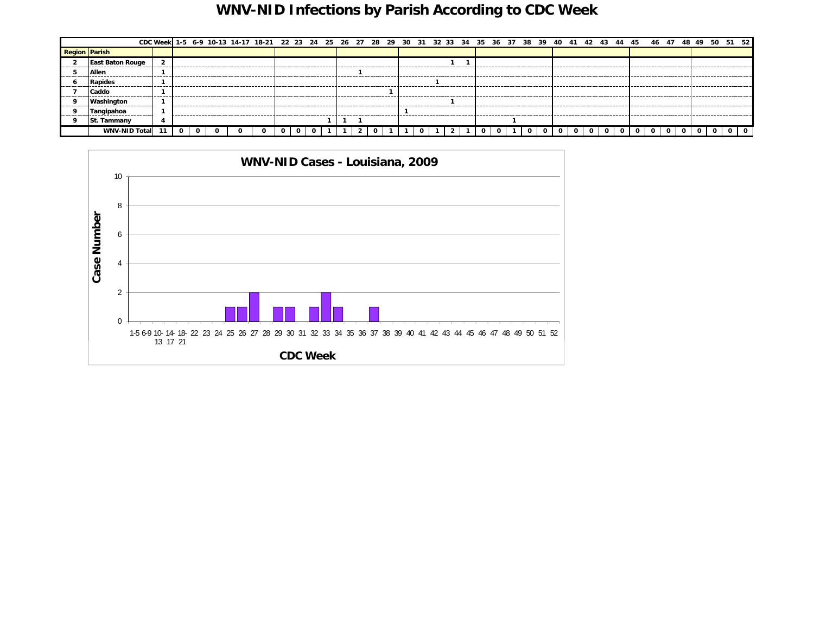### **WNV-NID Infections by Parish According to CDC Week**

|                      |                         |  |  | CDC Week   1-5 6-9 10-13 14-17 18-21 22 23 24 25 26 27 28 29 30 31 32 33 34 35 36 37 38 39 40 41 42 43 44 45 46 47 48 49 50 51 52 |  |  |  |  |  |  |  |  |  |  |  |  |  |  |  |  |
|----------------------|-------------------------|--|--|-----------------------------------------------------------------------------------------------------------------------------------|--|--|--|--|--|--|--|--|--|--|--|--|--|--|--|--|
| <b>Region Parish</b> |                         |  |  |                                                                                                                                   |  |  |  |  |  |  |  |  |  |  |  |  |  |  |  |  |
|                      | <b>East Baton Rouge</b> |  |  |                                                                                                                                   |  |  |  |  |  |  |  |  |  |  |  |  |  |  |  |  |
|                      | Allen                   |  |  |                                                                                                                                   |  |  |  |  |  |  |  |  |  |  |  |  |  |  |  |  |
| 6                    | <b>Rapides</b>          |  |  |                                                                                                                                   |  |  |  |  |  |  |  |  |  |  |  |  |  |  |  |  |
|                      | Caddo                   |  |  |                                                                                                                                   |  |  |  |  |  |  |  |  |  |  |  |  |  |  |  |  |
|                      | Washington              |  |  |                                                                                                                                   |  |  |  |  |  |  |  |  |  |  |  |  |  |  |  |  |
|                      | Tangipahoa              |  |  |                                                                                                                                   |  |  |  |  |  |  |  |  |  |  |  |  |  |  |  |  |
|                      | St. Tammany             |  |  |                                                                                                                                   |  |  |  |  |  |  |  |  |  |  |  |  |  |  |  |  |
|                      | <b>WNV-NID Total</b>    |  |  |                                                                                                                                   |  |  |  |  |  |  |  |  |  |  |  |  |  |  |  |  |

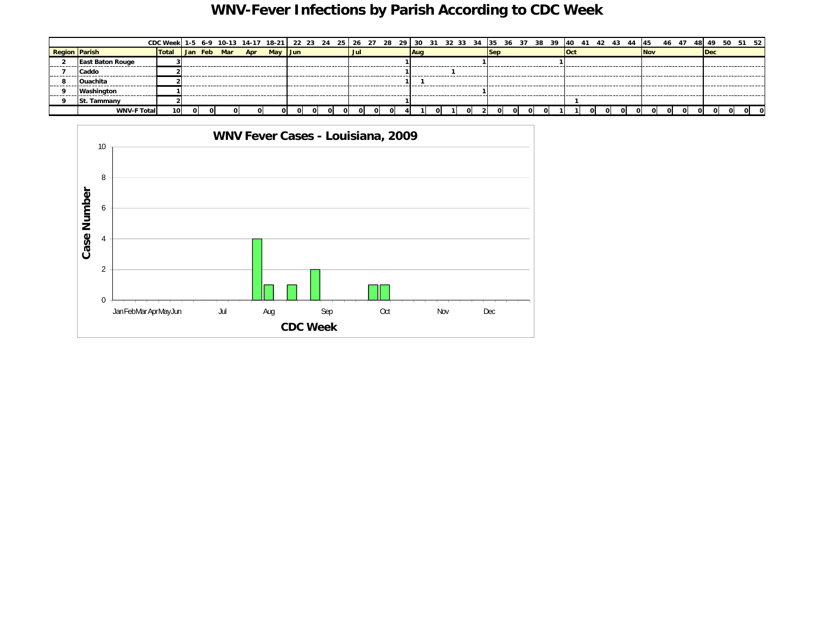### **WNV-Fever Infections by Parish According to CDC Week**

|                      |                         | CDCWeek 1-5 6-9 10-13 14-17 18-21 22 23 24 25 26 27 28 29 30 31 32 33 34 35 36 37 38 39 40 41 42 43 44 45 46 47 48 49 50 |  |  |                         |    |            |  |          |   |     |  |  |    |          |      |    |    |             |    |              |    |  | - 51 | 52       |
|----------------------|-------------------------|--------------------------------------------------------------------------------------------------------------------------|--|--|-------------------------|----|------------|--|----------|---|-----|--|--|----|----------|------|----|----|-------------|----|--------------|----|--|------|----------|
| <b>Region Parish</b> |                         | Total                                                                                                                    |  |  | Jan Feb Mar Apr May Jun |    |            |  |          |   | Aur |  |  |    |          | luci |    |    | <b>INOV</b> |    |              |    |  |      |          |
|                      | <b>East Baton Rouge</b> |                                                                                                                          |  |  |                         |    |            |  |          |   |     |  |  |    |          |      |    |    |             |    |              |    |  |      |          |
|                      | Caddo                   |                                                                                                                          |  |  |                         |    |            |  |          |   |     |  |  |    |          |      |    |    |             |    |              |    |  |      |          |
|                      | Ouachita                |                                                                                                                          |  |  |                         |    |            |  |          |   |     |  |  |    |          |      |    |    |             |    |              |    |  |      |          |
|                      | Washington              |                                                                                                                          |  |  |                         |    |            |  |          |   |     |  |  |    |          |      |    |    |             |    |              |    |  |      |          |
|                      | <b>St. Tammany</b>      |                                                                                                                          |  |  |                         |    |            |  |          |   |     |  |  |    |          |      |    |    |             |    |              |    |  |      |          |
|                      | <b>WNV-F Total</b>      | 10 <sup>1</sup>                                                                                                          |  |  |                         | 0. | $^{\circ}$ |  | $\Omega$ | വ |     |  |  | ΩI | $\Omega$ |      | ΩI | ΩI |             | ΩI | <sup>0</sup> | ΩI |  | ΩL   | $\Omega$ |

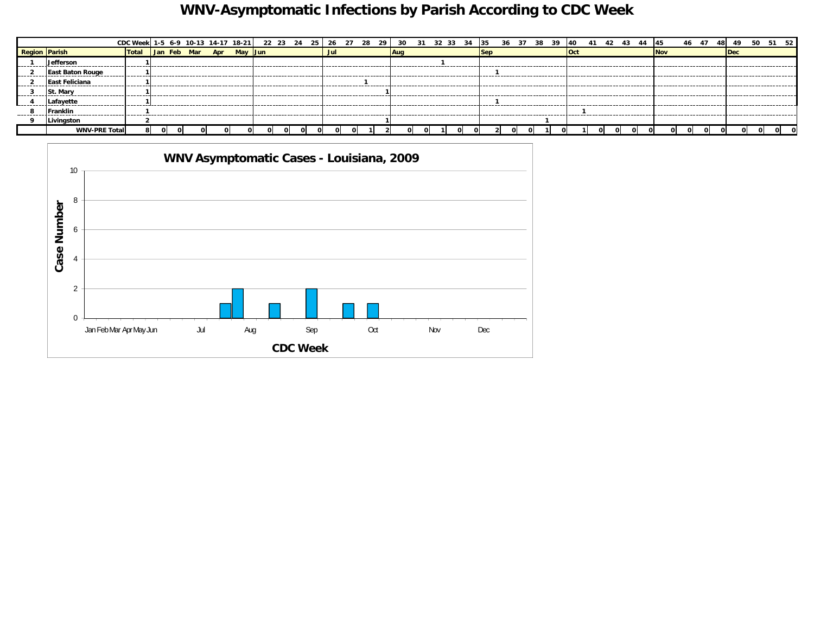## **WNV-Asymptomatic Infections by Parish According to CDC Week**

|                      |                         | CDC Week 11-5 6-9 10-13 14-17 18-21 22 23 24 25 26 27 28 29 30 31 32 33 34 35 36 37 38 39 40 41 42 43 44 |  |                 |  |         |  |  |  |  |     |  |  |  |  |            |  |  | <b>45</b>  | 46 47 |    | 48 49 |    | 50 51 52 |  |
|----------------------|-------------------------|----------------------------------------------------------------------------------------------------------|--|-----------------|--|---------|--|--|--|--|-----|--|--|--|--|------------|--|--|------------|-------|----|-------|----|----------|--|
| <b>Region Parish</b> |                         | <b>Total</b>                                                                                             |  | Jan Feb Mar Apr |  | May Jun |  |  |  |  | Auc |  |  |  |  | <b>Oct</b> |  |  | <b>Nov</b> |       |    |       | De |          |  |
|                      | <b>Jefferson</b>        |                                                                                                          |  |                 |  |         |  |  |  |  |     |  |  |  |  |            |  |  |            |       |    |       |    |          |  |
|                      | <b>East Baton Rouge</b> |                                                                                                          |  |                 |  |         |  |  |  |  |     |  |  |  |  |            |  |  |            |       |    |       |    |          |  |
|                      | East Feliciana          |                                                                                                          |  |                 |  |         |  |  |  |  |     |  |  |  |  |            |  |  |            |       |    |       |    |          |  |
|                      | <b>St. Mary</b>         |                                                                                                          |  |                 |  |         |  |  |  |  |     |  |  |  |  |            |  |  |            |       |    |       |    |          |  |
|                      | Lafayette               |                                                                                                          |  |                 |  |         |  |  |  |  |     |  |  |  |  |            |  |  |            |       |    |       |    |          |  |
|                      | <b>IFranklin</b>        |                                                                                                          |  |                 |  |         |  |  |  |  |     |  |  |  |  |            |  |  |            |       |    |       |    |          |  |
|                      | Livingston              |                                                                                                          |  |                 |  |         |  |  |  |  |     |  |  |  |  |            |  |  |            |       |    |       |    |          |  |
|                      | <b>WNV-PRE Total</b>    |                                                                                                          |  |                 |  |         |  |  |  |  |     |  |  |  |  |            |  |  |            |       | 01 |       |    |          |  |

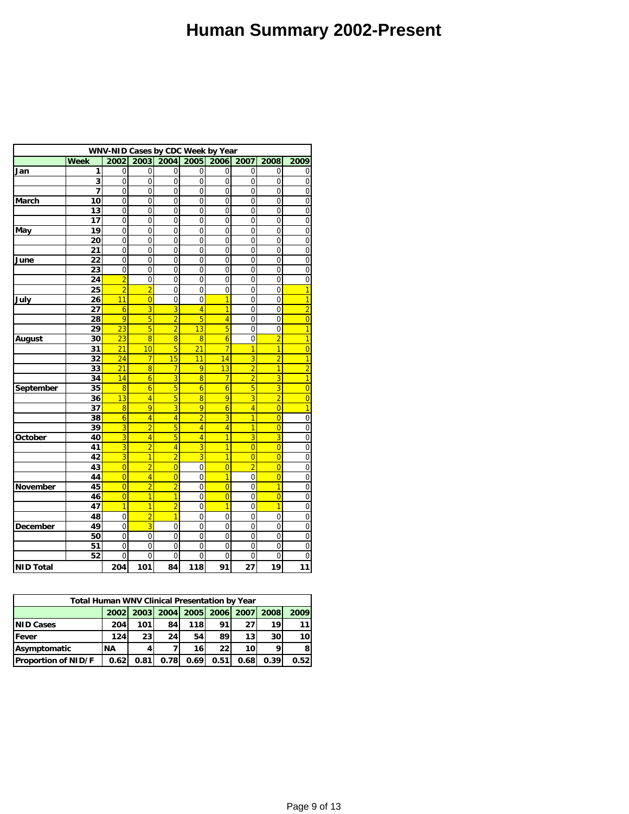# **Human Summary 2002-Present**

|                  |             |                 | WNV-NID Cases by CDC Week by Year |                |                |                |                |                |                |
|------------------|-------------|-----------------|-----------------------------------|----------------|----------------|----------------|----------------|----------------|----------------|
|                  | <b>Week</b> | 2002            | 2003                              | 2004           | 2005           | 2006           | 2007           | 2008           | 2009           |
| Jan              | 1           | $\overline{0}$  | 0                                 | $\overline{0}$ | $\overline{0}$ | $\overline{0}$ | $\overline{0}$ | $\overline{0}$ | 0              |
|                  | 3           | 0               | 0                                 | 0              | 0              | 0              | 0              | 0              | $\mathbf 0$    |
|                  | 7           | 0               | 0                                 | 0              | 0              | 0              | 0              | 0              | $\mathbf 0$    |
| <b>March</b>     | 10          | 0               | 0                                 | $\overline{0}$ | 0              | 0              | 0              | 0              | $\mathbf 0$    |
|                  | 13          | $\overline{0}$  | $\overline{0}$                    | $\overline{0}$ | 0              | 0              | $\mathbf 0$    | $\mathbf 0$    | $\mathbf 0$    |
|                  | 17          | 0               | $\overline{0}$                    | $\overline{0}$ | 0              | 0              | $\mathbf 0$    | 0              | $\mathbf 0$    |
| May              | 19          | 0               | 0                                 | 0              | 0              | 0              | $\mathbf 0$    | 0              | $\mathbf 0$    |
|                  | 20          | $\overline{0}$  | $\overline{0}$                    | $\overline{0}$ | 0              | 0              | $\mathbf 0$    | 0              | $\mathbf 0$    |
|                  | 21          | $\mathbf 0$     | $\overline{0}$                    | $\overline{0}$ | 0              | 0              | $\mathbf 0$    | $\mathbf 0$    | $\mathbf 0$    |
| June             | 22          | 0               | 0                                 | 0              | 0              | 0              | 0              | 0              | $\mathbf 0$    |
|                  | 23          | 0               | 0                                 | $\overline{0}$ | 0              | 0              | $\overline{0}$ | 0              | $\overline{0}$ |
|                  | 24          | $\overline{2}$  | 0                                 | $\overline{0}$ | $\overline{0}$ | 0              | $\mathbf 0$    | $\mathbf 0$    | $\mathbf 0$    |
|                  | 25          | $\overline{2}$  | $\overline{2}$                    | 0              | 0              | 0              | $\overline{0}$ | 0              | $\overline{1}$ |
| July             | 26          | 11              | $\overline{0}$                    | 0              | 0              | 1              | $\overline{0}$ | 0              | $\overline{1}$ |
|                  | 27          | 6               | 3                                 | 3              | 4              | 1              | $\mathbf 0$    | $\mathbf 0$    | $\overline{2}$ |
|                  | 28          | 9               | 5                                 | $\overline{2}$ | 5              | 4              | $\mathbf 0$    | $\mathbf 0$    | $\overline{0}$ |
|                  | 29          | 23              | 5                                 | $\overline{2}$ | 13             | 5              | 0              | 0              | $\overline{1}$ |
| <b>August</b>    | 30          | $\overline{23}$ | $\overline{8}$                    | 8              | 8              | $\overline{6}$ | $\overline{0}$ | $\overline{2}$ | $\overline{1}$ |
|                  | 31          | 21              | 10                                | 5              | 21             | $\overline{7}$ | $\overline{1}$ | $\overline{1}$ | $\overline{0}$ |
|                  | 32          | 24              | $\overline{7}$                    | 15             | 11             | 14             | $\overline{3}$ | $\overline{2}$ | $\overline{1}$ |
|                  | 33          | 21              | 8                                 | 7              | 9              | 13             | $\overline{2}$ | 1              | $\overline{2}$ |
|                  | 34          | 14              | $\overline{6}$                    | 3              | 8              | 7              | $\overline{2}$ | 3              | 1              |
| September        | 35          | $\overline{8}$  | $\overline{6}$                    | 5              | 6              | $\overline{6}$ | 5              | 3              | $\overline{0}$ |
|                  | 36          | 13              | 4                                 | 5              | 8              | 9              | $\overline{3}$ | $\overline{2}$ | $\overline{0}$ |
|                  | 37          | 8               | $\overline{9}$                    | $\overline{3}$ | 9              | $\overline{6}$ | $\overline{4}$ | $\overline{0}$ | $\overline{1}$ |
|                  | 38          | 6               | $\overline{4}$                    | $\overline{4}$ | $\overline{2}$ | $\overline{3}$ | $\overline{1}$ | $\overline{0}$ | $\mathbf 0$    |
|                  | 39          | 3               | $\overline{2}$                    | 5              | 4              | 4              | 1              | $\overline{0}$ | $\mathbf 0$    |
| October          | 40          | 3               | 4                                 | 5              | 4              | 1              | $\overline{3}$ | 3              | $\mathbf 0$    |
|                  | 41          | 3               | $\overline{2}$                    | $\overline{4}$ | 3              | 1              | $\overline{0}$ | $\overline{0}$ | $\mathbf 0$    |
|                  | 42          | $\overline{3}$  | $\overline{1}$                    | $\overline{2}$ | $\overline{3}$ | $\overline{1}$ | $\overline{0}$ | $\overline{0}$ | $\mathbf 0$    |
|                  | 43          | $\overline{0}$  | $\overline{2}$                    | $\overline{0}$ | 0              | $\overline{0}$ | $\overline{2}$ | $\overline{0}$ | $\mathbf 0$    |
|                  | 44          | $\overline{0}$  | $\overline{4}$                    | $\overline{0}$ | 0              | $\overline{1}$ | $\overline{0}$ | $\overline{0}$ | $\mathbf 0$    |
| November         | 45          | $\overline{0}$  | $\overline{2}$                    | $\overline{2}$ | $\Omega$       | $\overline{0}$ | $\overline{0}$ | $\overline{1}$ | $\mathbf 0$    |
|                  | 46          | $\overline{0}$  | $\overline{1}$                    | 1              | 0              | $\overline{0}$ | $\overline{0}$ | $\overline{0}$ | $\mathbf 0$    |
|                  | 47          | 1               | $\overline{1}$                    | $\overline{2}$ | 0              | 1              | $\mathbf 0$    | 1              | $\mathbf 0$    |
|                  | 48          | 0               | $\overline{2}$                    | $\overline{1}$ | 0              | 0              | $\mathbf 0$    | $\mathbf 0$    | $\mathbf 0$    |
| December         | 49          | $\overline{0}$  | 3                                 | 0              | 0              | $\mathbf 0$    | $\mathbf 0$    | $\mathbf 0$    | $\mathbf 0$    |
|                  | 50          | 0               | 0                                 | $\overline{0}$ | 0              | 0              | 0              | $\mathbf 0$    | $\mathbf 0$    |
|                  | 51          | 0               | 0                                 | $\overline{0}$ | 0              | 0              | 0              | 0              | $\mathbf 0$    |
|                  | 52          | $\Omega$        | $\Omega$                          | 0              | $\Omega$       | 0              | 0              | 0              | $\mathbf 0$    |
| <b>NID Total</b> |             | 204             | 101                               | 84             | 118            | 91             | 27             | 19             | 11             |

|                                                                       | <b>Total Human WNV Clinical Presentation by Year</b> |      |      |      |      |      |      |      |  |  |  |  |  |
|-----------------------------------------------------------------------|------------------------------------------------------|------|------|------|------|------|------|------|--|--|--|--|--|
| 2002 2003 2004 2005 2006 2007<br>2009<br><b>2008</b>                  |                                                      |      |      |      |      |      |      |      |  |  |  |  |  |
| <b>NID Cases</b><br>91<br>118I<br>19<br>11<br>101<br>84<br>271<br>204 |                                                      |      |      |      |      |      |      |      |  |  |  |  |  |
| Fever                                                                 | 89<br>23<br>24<br>54<br>124<br>13 <sup>l</sup><br>30 |      |      |      |      |      |      |      |  |  |  |  |  |
| ΝA<br>22<br>16<br>Asymptomatic<br>10<br>o                             |                                                      |      |      |      |      |      |      |      |  |  |  |  |  |
| <b>Proportion of NID/F</b>                                            | 0.62                                                 | 0.81 | 0.78 | 0.69 | 0.51 | 0.68 | 0.39 | 0.52 |  |  |  |  |  |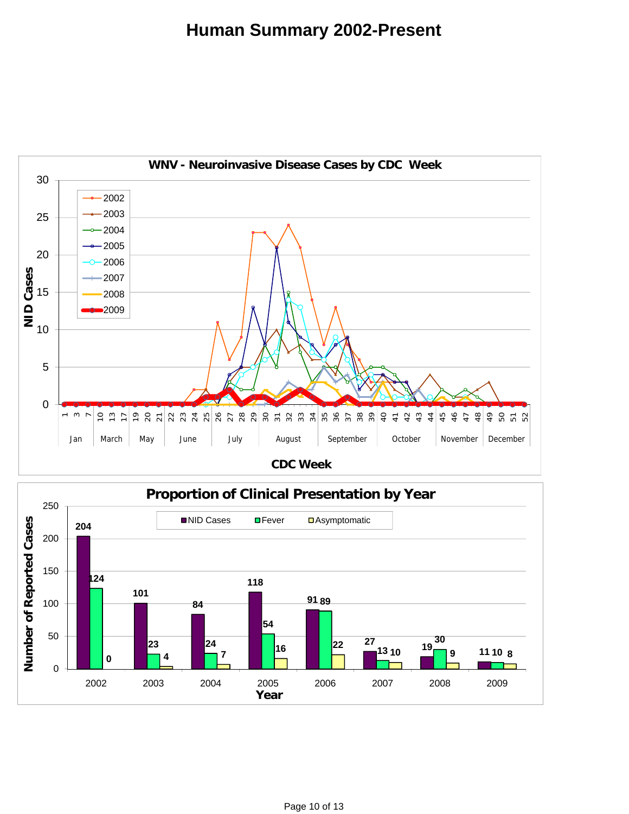## **Human Summary 2002-Present**



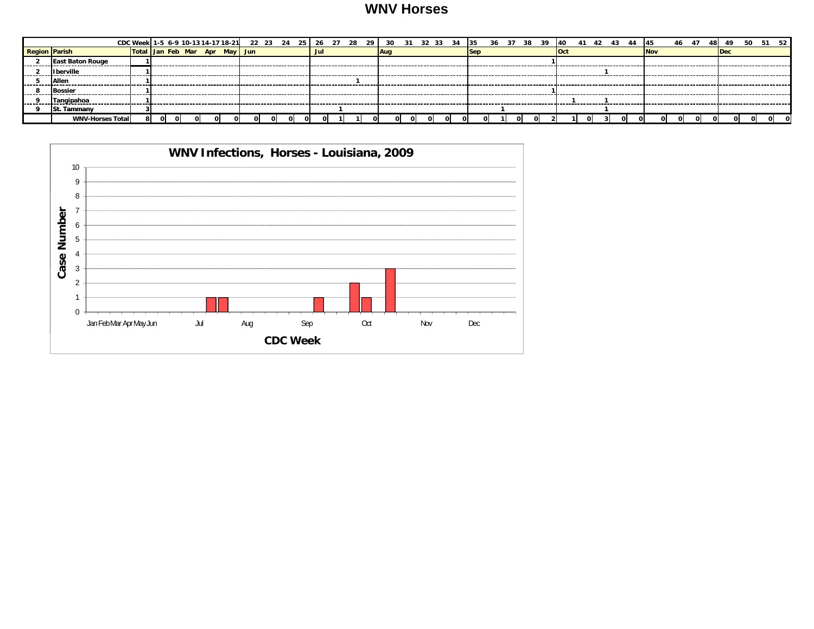#### **WNV Horses**

|                      |                         | CDC Week 1-5 6-9 10-13 14-17 18-21 22 23 24 25 26 27 28 29 |   |  |  |  |     |  |  | 30 31 32 33 34 35 36 37 38 39 |  |  |  |  | -40        | 42 | -44 | 145   | 46 | -47 | -49        |  |  |
|----------------------|-------------------------|------------------------------------------------------------|---|--|--|--|-----|--|--|-------------------------------|--|--|--|--|------------|----|-----|-------|----|-----|------------|--|--|
| <b>Region Parish</b> |                         | Total Jan Feb Mar Apr May Jun                              |   |  |  |  | Jul |  |  | Auc                           |  |  |  |  | <b>Oct</b> |    |     | l Nov |    |     | <b>Dec</b> |  |  |
|                      | <b>East Baton Rouge</b> |                                                            |   |  |  |  |     |  |  |                               |  |  |  |  |            |    |     |       |    |     |            |  |  |
|                      | <b>Iberville</b>        |                                                            |   |  |  |  |     |  |  |                               |  |  |  |  |            |    |     |       |    |     |            |  |  |
|                      |                         |                                                            |   |  |  |  |     |  |  |                               |  |  |  |  |            |    |     |       |    |     |            |  |  |
|                      | -Bossier                |                                                            |   |  |  |  |     |  |  |                               |  |  |  |  |            |    |     |       |    |     |            |  |  |
|                      | <b>Tangipahoa</b>       |                                                            |   |  |  |  |     |  |  |                               |  |  |  |  |            |    |     |       |    |     |            |  |  |
|                      | <b>St. Tammany</b>      |                                                            |   |  |  |  |     |  |  |                               |  |  |  |  |            |    |     |       |    |     |            |  |  |
|                      | <b>WNV-Horses Total</b> |                                                            | ി |  |  |  |     |  |  |                               |  |  |  |  |            |    |     |       |    |     |            |  |  |

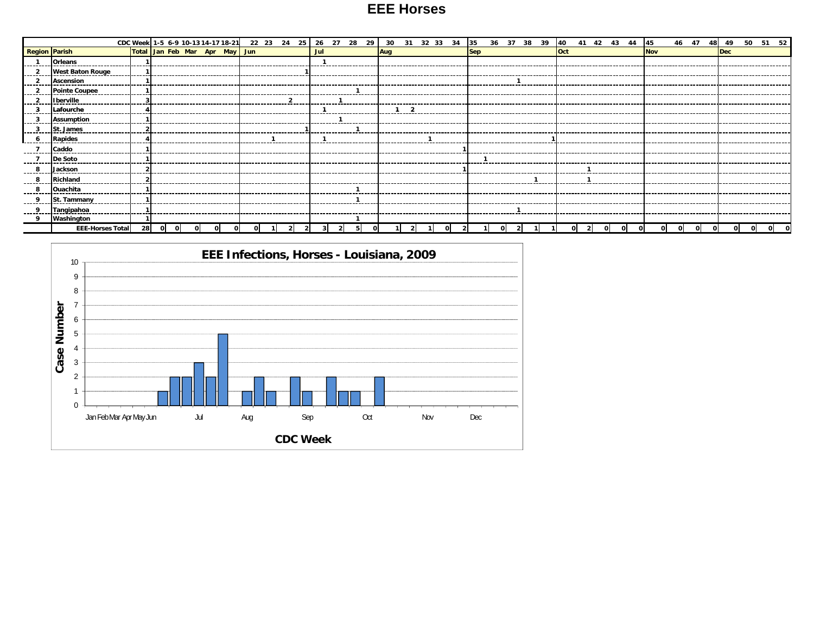### **EEE Horses**

|                      |                         | CDC Week 1-5 6-9 10-13 14-17 18-21 22 23 24 25 |  |  |  |  | 26  | 27 | 28 | 29                                    |     |  | 33 |                     |            |  | 39                            | 40         |  | 43 | 44                           | 45         | 46 47 | 48 | 49  | 50 | 51 52 |
|----------------------|-------------------------|------------------------------------------------|--|--|--|--|-----|----|----|---------------------------------------|-----|--|----|---------------------|------------|--|-------------------------------|------------|--|----|------------------------------|------------|-------|----|-----|----|-------|
| <b>Region Parish</b> |                         | Total Jan Feb Mar Apr May Jun                  |  |  |  |  | Jul |    |    |                                       | Aug |  |    |                     | <b>Sep</b> |  |                               | <b>Oct</b> |  |    |                              | <b>Nov</b> |       |    | Dec |    |       |
|                      | <b>Orleans</b>          |                                                |  |  |  |  |     |    |    |                                       |     |  |    |                     |            |  |                               |            |  |    |                              |            |       |    |     |    |       |
|                      | <b>West Baton Rouge</b> |                                                |  |  |  |  |     |    |    |                                       |     |  |    |                     |            |  |                               |            |  |    |                              |            |       |    |     |    |       |
|                      | <b>Ascension</b>        |                                                |  |  |  |  |     |    |    |                                       |     |  |    |                     |            |  |                               |            |  |    |                              |            |       |    |     |    |       |
|                      | Pointe Coupee           |                                                |  |  |  |  |     |    |    | ------------------------------------- |     |  |    |                     |            |  |                               |            |  |    |                              |            |       |    |     |    |       |
|                      | <b>Iberville</b>        |                                                |  |  |  |  |     |    |    |                                       |     |  |    | ------------------- |            |  | ----------------------------- |            |  |    | ---------------------------- |            |       |    |     |    |       |
|                      | Lafourche               |                                                |  |  |  |  |     |    |    |                                       |     |  |    |                     |            |  |                               |            |  |    |                              |            |       |    |     |    |       |
|                      | <b>Assumption</b>       |                                                |  |  |  |  |     |    |    |                                       |     |  |    |                     |            |  |                               |            |  |    |                              |            |       |    |     |    |       |
|                      | St. James               |                                                |  |  |  |  |     |    |    |                                       |     |  |    |                     |            |  |                               |            |  |    |                              |            |       |    |     |    |       |
|                      | Rapides                 |                                                |  |  |  |  |     |    |    |                                       |     |  |    |                     |            |  |                               |            |  |    |                              |            |       |    |     |    |       |
|                      | Caddo                   |                                                |  |  |  |  |     |    |    |                                       |     |  |    |                     |            |  |                               |            |  |    |                              |            |       |    |     |    |       |
|                      | De Soto                 |                                                |  |  |  |  |     |    |    |                                       |     |  |    |                     |            |  |                               |            |  |    |                              |            |       |    |     |    |       |
|                      | Jackson                 |                                                |  |  |  |  |     |    |    |                                       |     |  |    |                     |            |  |                               |            |  |    |                              |            |       |    |     |    |       |
|                      | Richland                |                                                |  |  |  |  |     |    |    |                                       |     |  |    |                     |            |  |                               |            |  |    |                              |            |       |    |     |    |       |
|                      | Ouachita                |                                                |  |  |  |  |     |    |    |                                       |     |  |    |                     |            |  |                               |            |  |    |                              |            |       |    |     |    |       |
|                      | St. Tammany             |                                                |  |  |  |  |     |    |    |                                       |     |  |    |                     |            |  |                               |            |  |    |                              |            |       |    |     |    |       |
|                      | Tangipahoa              |                                                |  |  |  |  |     |    |    |                                       |     |  |    |                     |            |  |                               |            |  |    |                              |            |       |    |     |    |       |
|                      | Washington              |                                                |  |  |  |  |     |    |    |                                       |     |  |    |                     |            |  |                               |            |  |    |                              |            |       |    |     |    |       |
|                      | <b>EEE-Horses Total</b> | 28                                             |  |  |  |  |     |    |    |                                       |     |  |    |                     |            |  |                               |            |  |    |                              |            |       |    |     |    |       |